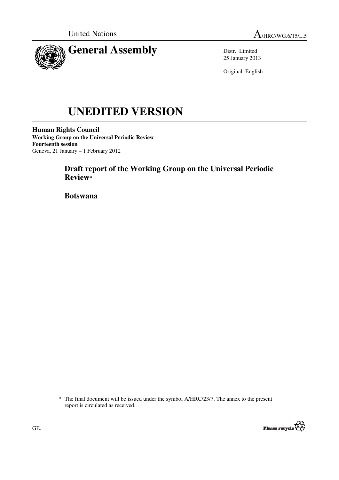

Distr.: Limited 25 January 2013

Original: English

# **UNEDITED VERSION**

**Human Rights Council Working Group on the Universal Periodic Review Fourteenth session**  Geneva, 21 January – 1 February 2012

# **Draft report of the Working Group on the Universal Periodic Review\***

 **Botswana** 

<sup>\*</sup> The final document will be issued under the symbol A/HRC/23/7. The annex to the present report is circulated as received.

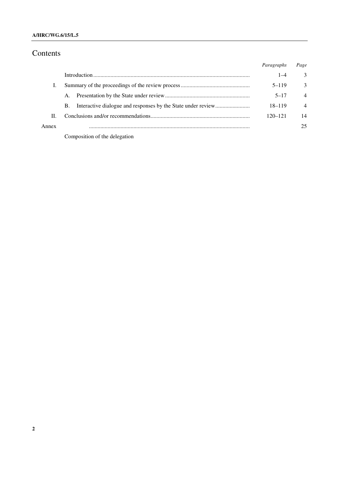### **A/HRC/WG.6/15/L.5**

# Contents

|       |                               | Paragraphs  | Page           |
|-------|-------------------------------|-------------|----------------|
|       |                               | $1 - 4$     | 3              |
|       |                               | $5 - 119$   | $\mathcal{E}$  |
|       | A.                            | $5 - 17$    | $\overline{4}$ |
|       | В.                            | $18 - 119$  | $\overline{4}$ |
| H.    |                               | $120 - 121$ | 14             |
| Annex |                               |             | 25             |
|       | Composition of the delegation |             |                |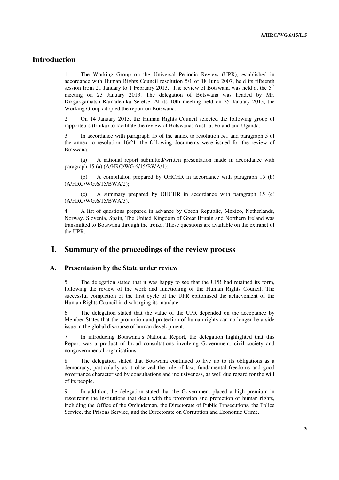# **Introduction**

1. The Working Group on the Universal Periodic Review (UPR), established in accordance with Human Rights Council resolution 5/1 of 18 June 2007, held its fifteenth session from 21 January to 1 February 2013. The review of Botswana was held at the  $5<sup>th</sup>$ meeting on 23 January 2013. The delegation of Botswana was headed by Mr. Dikgakgamatso Ramadeluka Seretse. At its 10th meeting held on 25 January 2013, the Working Group adopted the report on Botswana.

2. On 14 January 2013, the Human Rights Council selected the following group of rapporteurs (troika) to facilitate the review of Botswana: Austria, Poland and Uganda.

3. In accordance with paragraph 15 of the annex to resolution 5/1 and paragraph 5 of the annex to resolution 16/21, the following documents were issued for the review of Botswana:

 (a) A national report submitted/written presentation made in accordance with paragraph 15 (a) (A/HRC/WG.6/15/BWA/1);

 (b) A compilation prepared by OHCHR in accordance with paragraph 15 (b) (A/HRC/WG.6/15/BWA/2);

 (c) A summary prepared by OHCHR in accordance with paragraph 15 (c) (A/HRC/WG.6/15/BWA/3).

4. A list of questions prepared in advance by Czech Republic, Mexico, Netherlands, Norway, Slovenia, Spain, The United Kingdom of Great Britain and Northern Ireland was transmitted to Botswana through the troika. These questions are available on the extranet of the UPR.

## **I. Summary of the proceedings of the review process**

#### **A. Presentation by the State under review**

5. The delegation stated that it was happy to see that the UPR had retained its form, following the review of the work and functioning of the Human Rights Council. The successful completion of the first cycle of the UPR epitomised the achievement of the Human Rights Council in discharging its mandate.

6. The delegation stated that the value of the UPR depended on the acceptance by Member States that the promotion and protection of human rights can no longer be a side issue in the global discourse of human development.

7. In introducing Botswana's National Report, the delegation highlighted that this Report was a product of broad consultations involving Government, civil society and nongovernmental organisations.

8. The delegation stated that Botswana continued to live up to its obligations as a democracy, particularly as it observed the rule of law, fundamental freedoms and good governance characterised by consultations and inclusiveness, as well due regard for the will of its people.

9. In addition, the delegation stated that the Government placed a high premium in resourcing the institutions that dealt with the promotion and protection of human rights, including the Office of the Ombudsman, the Directorate of Public Prosecutions, the Police Service, the Prisons Service, and the Directorate on Corruption and Economic Crime.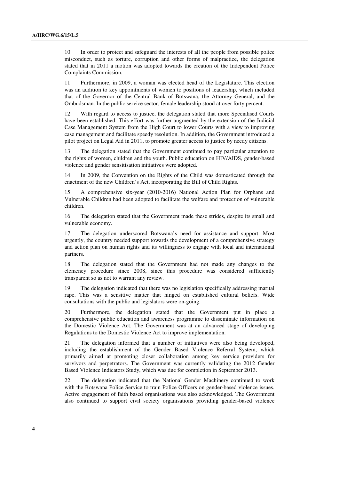10. In order to protect and safeguard the interests of all the people from possible police misconduct, such as torture, corruption and other forms of malpractice, the delegation stated that in 2011 a motion was adopted towards the creation of the Independent Police Complaints Commission.

11. Furthermore, in 2009, a woman was elected head of the Legislature. This election was an addition to key appointments of women to positions of leadership, which included that of the Governor of the Central Bank of Botswana, the Attorney General, and the Ombudsman. In the public service sector, female leadership stood at over forty percent.

12. With regard to access to justice, the delegation stated that more Specialised Courts have been established. This effort was further augmented by the extension of the Judicial Case Management System from the High Court to lower Courts with a view to improving case management and facilitate speedy resolution. In addition, the Government introduced a pilot project on Legal Aid in 2011, to promote greater access to justice by needy citizens.

13. The delegation stated that the Government continued to pay particular attention to the rights of women, children and the youth. Public education on HIV/AIDS, gender-based violence and gender sensitisation initiatives were adopted.

14. In 2009, the Convention on the Rights of the Child was domesticated through the enactment of the new Children's Act, incorporating the Bill of Child Rights.

15. A comprehensive six-year (2010-2016) National Action Plan for Orphans and Vulnerable Children had been adopted to facilitate the welfare and protection of vulnerable children.

16. The delegation stated that the Government made these strides, despite its small and vulnerable economy.

17. The delegation underscored Botswana's need for assistance and support. Most urgently, the country needed support towards the development of a comprehensive strategy and action plan on human rights and its willingness to engage with local and international partners.

18. The delegation stated that the Government had not made any changes to the clemency procedure since 2008, since this procedure was considered sufficiently transparent so as not to warrant any review.

19. The delegation indicated that there was no legislation specifically addressing marital rape. This was a sensitive matter that hinged on established cultural beliefs. Wide consultations with the public and legislators were on-going.

20. Furthermore, the delegation stated that the Government put in place a comprehensive public education and awareness programme to disseminate information on the Domestic Violence Act. The Government was at an advanced stage of developing Regulations to the Domestic Violence Act to improve implementation.

21. The delegation informed that a number of initiatives were also being developed, including the establishment of the Gender Based Violence Referral System, which primarily aimed at promoting closer collaboration among key service providers for survivors and perpetrators. The Government was currently validating the 2012 Gender Based Violence Indicators Study, which was due for completion in September 2013.

22. The delegation indicated that the National Gender Machinery continued to work with the Botswana Police Service to train Police Officers on gender-based violence issues. Active engagement of faith based organisations was also acknowledged. The Government also continued to support civil society organisations providing gender-based violence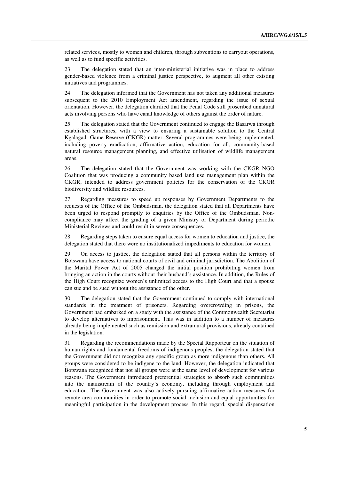related services, mostly to women and children, through subventions to carryout operations, as well as to fund specific activities.

23. The delegation stated that an inter-ministerial initiative was in place to address gender-based violence from a criminal justice perspective, to augment all other existing initiatives and programmes.

24. The delegation informed that the Government has not taken any additional measures subsequent to the 2010 Employment Act amendment, regarding the issue of sexual orientation. However, the delegation clarified that the Penal Code still proscribed unnatural acts involving persons who have canal knowledge of others against the order of nature.

25. The delegation stated that the Government continued to engage the Basarwa through established structures, with a view to ensuring a sustainable solution to the Central Kgalagadi Game Reserve (CKGR) matter. Several programmes were being implemented, including poverty eradication, affirmative action, education for all, community-based natural resource management planning, and effective utilisation of wildlife management areas.

26. The delegation stated that the Government was working with the CKGR NGO Coalition that was producing a community based land use management plan within the CKGR, intended to address government policies for the conservation of the CKGR biodiversity and wildlife resources.

27. Regarding measures to speed up responses by Government Departments to the requests of the Office of the Ombudsman, the delegation stated that all Departments have been urged to respond promptly to enquiries by the Office of the Ombudsman. Noncompliance may affect the grading of a given Ministry or Department during periodic Ministerial Reviews and could result in severe consequences.

28. Regarding steps taken to ensure equal access for women to education and justice, the delegation stated that there were no institutionalized impediments to education for women.

29. On access to justice, the delegation stated that all persons within the territory of Botswana have access to national courts of civil and criminal jurisdiction. The Abolition of the Marital Power Act of 2005 changed the initial position prohibiting women from bringing an action in the courts without their husband's assistance. In addition, the Rules of the High Court recognize women's unlimited access to the High Court and that a spouse can sue and be sued without the assistance of the other.

30. The delegation stated that the Government continued to comply with international standards in the treatment of prisoners. Regarding overcrowding in prisons, the Government had embarked on a study with the assistance of the Commonwealth Secretariat to develop alternatives to imprisonment. This was in addition to a number of measures already being implemented such as remission and extramural provisions, already contained in the legislation.

31. Regarding the recommendations made by the Special Rapporteur on the situation of human rights and fundamental freedoms of indigenous peoples, the delegation stated that the Government did not recognize any specific group as more indigenous than others. All groups were considered to be indigene to the land. However, the delegation indicated that Botswana recognized that not all groups were at the same level of development for various reasons. The Government introduced preferential strategies to absorb such communities into the mainstream of the country's economy, including through employment and education. The Government was also actively pursuing affirmative action measures for remote area communities in order to promote social inclusion and equal opportunities for meaningful participation in the development process. In this regard, special dispensation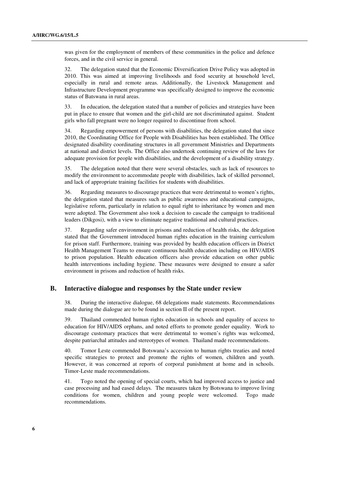was given for the employment of members of these communities in the police and defence forces, and in the civil service in general.

32. The delegation stated that the Economic Diversification Drive Policy was adopted in 2010. This was aimed at improving livelihoods and food security at household level, especially in rural and remote areas. Additionally, the Livestock Management and Infrastructure Development programme was specifically designed to improve the economic status of Batswana in rural areas.

33. In education, the delegation stated that a number of policies and strategies have been put in place to ensure that women and the girl-child are not discriminated against. Student girls who fall pregnant were no longer required to discontinue from school.

34. Regarding empowerment of persons with disabilities, the delegation stated that since 2010, the Coordinating Office for People with Disabilities has been established. The Office designated disability coordinating structures in all government Ministries and Departments at national and district levels. The Office also undertook continuing review of the laws for adequate provision for people with disabilities, and the development of a disability strategy.

35. The delegation noted that there were several obstacles, such as lack of resources to modify the environment to accommodate people with disabilities, lack of skilled personnel, and lack of appropriate training facilities for students with disabilities.

36. Regarding measures to discourage practices that were detrimental to women's rights, the delegation stated that measures such as public awareness and educational campaigns, legislative reform, particularly in relation to equal right to inheritance by women and men were adopted. The Government also took a decision to cascade the campaign to traditional leaders (Dikgosi), with a view to eliminate negative traditional and cultural practices.

37. Regarding safer environment in prisons and reduction of health risks, the delegation stated that the Government introduced human rights education in the training curriculum for prison staff. Furthermore, training was provided by health education officers in District Health Management Teams to ensure continuous health education including on HIV/AIDS to prison population. Health education officers also provide education on other public health interventions including hygiene. These measures were designed to ensure a safer environment in prisons and reduction of health risks.

#### **B. Interactive dialogue and responses by the State under review**

38. During the interactive dialogue, 68 delegations made statements. Recommendations made during the dialogue are to be found in section II of the present report.

39. Thailand commended human rights education in schools and equality of access to education for HIV/AIDS orphans, and noted efforts to promote gender equality. Work to discourage customary practices that were detrimental to women's rights was welcomed, despite patriarchal attitudes and stereotypes of women. Thailand made recommendations.

40. Tomor Leste commended Botswana's accession to human rights treaties and noted specific strategies to protect and promote the rights of women, children and youth. However, it was concerned at reports of corporal punishment at home and in schools. Timor-Leste made recommendations.

41. Togo noted the opening of special courts, which had improved access to justice and case processing and had eased delays. The measures taken by Botswana to improve living conditions for women, children and young people were welcomed. Togo made recommendations.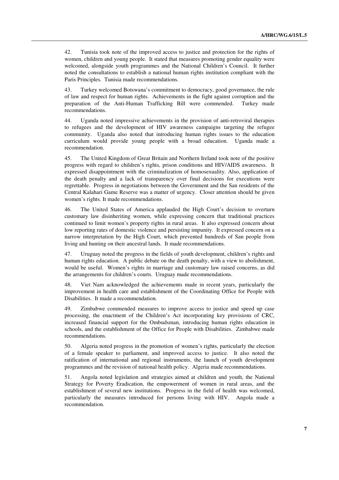42. Tunisia took note of the improved access to justice and protection for the rights of women, children and young people. It stated that measures promoting gender equality were welcomed, alongside youth programmes and the National Children's Council. It further noted the consultations to establish a national human rights institution compliant with the Paris Principles. Tunisia made recommendations.

43. Turkey welcomed Botswana's commitment to democracy, good governance, the rule of law and respect for human rights. Achievements in the fight against corruption and the preparation of the Anti-Human Trafficking Bill were commended. Turkey made recommendations.

44. Uganda noted impressive achievements in the provision of anti-retroviral therapies to refugees and the development of HIV awareness campaigns targeting the refugee community. Uganda also noted that introducing human rights issues to the education curriculum would provide young people with a broad education. Uganda made a recommendation.

45. The United Kingdom of Great Britain and Northern Ireland took note of the positive progress with regard to children's rights, prison conditions and HIV/AIDS awareness. It expressed disappointment with the criminalization of homosexuality. Also, application of the death penalty and a lack of transparency over final decisions for executions were regrettable. Progress in negotiations between the Government and the San residents of the Central Kalahari Game Reserve was a matter of urgency. Closer attention should be given women's rights. It made recommendations.

46. The United States of America applauded the High Court's decision to overturn customary law disinheriting women, while expressing concern that traditional practices continued to limit women's property rights in rural areas. It also expressed concern about low reporting rates of domestic violence and persisting impunity. It expressed concern on a narrow interpretation by the High Court, which prevented hundreds of San people from living and hunting on their ancestral lands. It made recommendations.

47. Uruguay noted the progress in the fields of youth development, children's rights and human rights education. A public debate on the death penalty, with a view to abolishment, would be useful. Women's rights in marriage and customary law raised concerns, as did the arrangements for children's courts. Uruguay made recommendations.

48. Viet Nam acknowledged the achievements made in recent years, particularly the improvement in health care and establishment of the Coordinating Office for People with Disabilities. It made a recommendation.

49. Zimbabwe commended measures to improve access to justice and speed up case processing, the enactment of the Children's Act incorporating key provisions of CRC, increased financial support for the Ombudsman, introducing human rights education in schools, and the establishment of the Office for People with Disabilities. Zimbabwe made recommendations.

50. Algeria noted progress in the promotion of women's rights, particularly the election of a female speaker to parliament, and improved access to justice. It also noted the ratification of international and regional instruments, the launch of youth development programmes and the revision of national health policy. Algeria made recommendations.

51. Angola noted legislation and strategies aimed at children and youth, the National Strategy for Poverty Eradication, the empowerment of women in rural areas, and the establishment of several new institutions. Progress in the field of health was welcomed, particularly the measures introduced for persons living with HIV. Angola made a recommendation.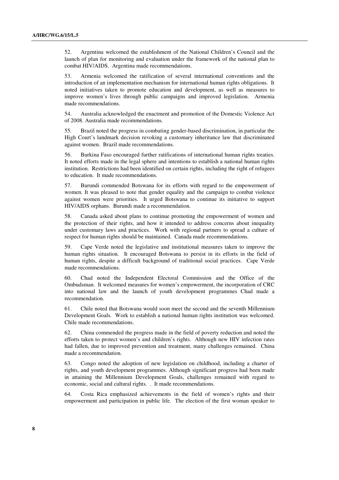52. Argentina welcomed the establishment of the National Children's Council and the launch of plan for monitoring and evaluation under the framework of the national plan to combat HIV/AIDS. Argentina made recommendations.

53. Armenia welcomed the ratification of several international conventions and the introduction of an implementation mechanism for international human rights obligations. It noted initiatives taken to promote education and development, as well as measures to improve women's lives through public campaigns and improved legislation. Armenia made recommendations.

54. Australia acknowledged the enactment and promotion of the Domestic Violence Act of 2008. Australia made recommendations.

55. Brazil noted the progress in combating gender-based discrimination, in particular the High Court's landmark decision revoking a customary inheritance law that discriminated against women. Brazil made recommendations.

56. Burkina Faso encouraged further ratifications of international human rights treaties. It noted efforts made in the legal sphere and intentions to establish a national human rights institution. Restrictions had been identified on certain rights, including the right of refugees to education. It made recommendations.

57. Burundi commended Botswana for its efforts with regard to the empowerment of women. It was pleased to note that gender equality and the campaign to combat violence against women were priorities. It urged Botswana to continue its initiative to support HIV/AIDS orphans. Burundi made a recommendation.

58. Canada asked about plans to continue promoting the empowerment of women and the protection of their rights, and how it intended to address concerns about inequality under customary laws and practices. Work with regional partners to spread a culture of respect for human rights should be maintained. Canada made recommendations.

59. Cape Verde noted the legislative and institutional measures taken to improve the human rights situation. It encouraged Botswana to persist in its efforts in the field of human rights, despite a difficult background of traditional social practices. Cape Verde made recommendations.

60. Chad noted the Independent Electoral Commission and the Office of the Ombudsman. It welcomed measures for women's empowerment, the incorporation of CRC into national law and the launch of youth development programmes Chad made a recommendation.

61. Chile noted that Botswana would soon meet the second and the seventh Millennium Development Goals. Work to establish a national human rights institution was welcomed. Chile made recommendations.

62. China commended the progress made in the field of poverty reduction and noted the efforts taken to protect women's and children's rights. Although new HIV infection rates had fallen, due to improved prevention and treatment, many challenges remained. China made a recommendation.

63. Congo noted the adoption of new legislation on childhood, including a charter of rights, and youth development programmes. Although significant progress had been made in attaining the Millennium Development Goals, challenges remained with regard to economic, social and cultural rights. . It made recommendations.

64. Costa Rica emphasized achievements in the field of women's rights and their empowerment and participation in public life. The election of the first woman speaker to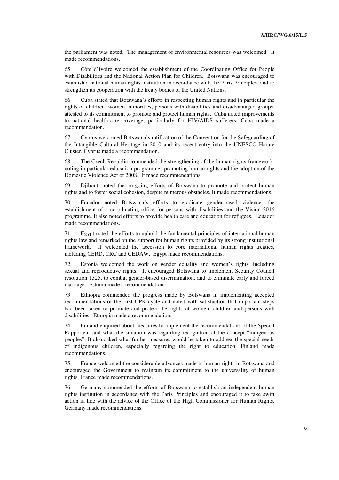the parliament was noted. The management of environmental resources was welcomed. It made recommendations.

65. Côte d'Ivoire welcomed the establishment of the Coordinating Office for People with Disabilities and the National Action Plan for Children. Botswana was encouraged to establish a national human rights institution in accordance with the Paris Principles, and to strengthen its cooperation with the treaty bodies of the United Nations.

66. Cuba stated that Botswana's efforts in respecting human rights and in particular the rights of children, women, minorities, persons with disabilities and disadvantaged groups, attested to its commitment to promote and protect human rights. Cuba noted improvements to national health-care coverage, particularly for HIV/AIDS sufferers. Cuba made a recommendation.

67. Cyprus welcomed Botswana's ratification of the Convention for the Safeguarding of the Intangible Cultural Heritage in 2010 and its recent entry into the UNESCO Harare Cluster. Cyprus made a recommendation.

68. The Czech Republic commended the strengthening of the human rights framework, noting in particular education programmes promoting human rights and the adoption of the Domestic Violence Act of 2008. It made recommendations.

69. Djibouti noted the on-going efforts of Botswana to promote and protect human rights and to foster social cohesion, despite numerous obstacles. It made recommendations.

70. Ecuador noted Botswana's efforts to eradicate gender-based violence, the establishment of a coordinating office for persons with disabilities and the Vision 2016 programme. It also noted efforts to provide health care and education for refugees. Ecuador made recommendations.

71. Egypt noted the efforts to uphold the fundamental principles of international human rights law and remarked on the support for human rights provided by its strong institutional framework. It welcomed the accession to core international human rights treaties, including CERD, CRC and CEDAW. Egypt made recommendations.

72. Estonia welcomed the work on gender equality and women's rights, including sexual and reproductive rights. It encouraged Botswana to implement Security Council resolution 1325, to combat gender-based discrimination, and to eliminate early and forced marriage. Estonia made a recommendation.

73. Ethiopia commended the progress made by Botswana in implementing accepted recommendations of the first UPR cycle and noted with satisfaction that important steps had been taken to promote and protect the rights of women, children and persons with disabilities. Ethiopia made a recommendation.

74. Finland enquired about measures to implement the recommendations of the Special Rapporteur and what the situation was regarding recognition of the concept "indigenous peoples". It also asked what further measures would be taken to address the special needs of indigenous children, especially regarding the right to education. Finland made recommendations.

75. France welcomed the considerable advances made in human rights in Botswana and encouraged the Government to maintain its commitment to the universality of human rights. France made recommendations.

76. Germany commended the efforts of Botswana to establish an independent human rights institution in accordance with the Paris Principles and encouraged it to take swift action in line with the advice of the Office of the High Commissioner for Human Rights. Germany made recommendations.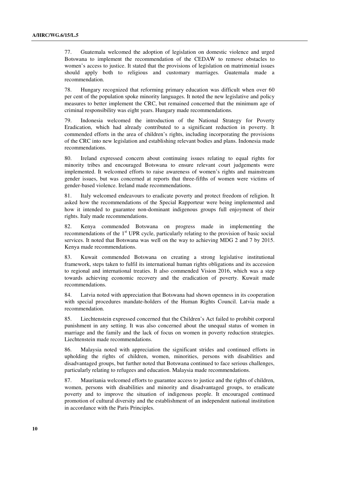77. Guatemala welcomed the adoption of legislation on domestic violence and urged Botswana to implement the recommendation of the CEDAW to remove obstacles to women's access to justice. It stated that the provisions of legislation on matrimonial issues should apply both to religious and customary marriages. Guatemala made a recommendation.

78. Hungary recognized that reforming primary education was difficult when over 60 per cent of the population spoke minority languages. It noted the new legislative and policy measures to better implement the CRC, but remained concerned that the minimum age of criminal responsibility was eight years. Hungary made recommendations.

79. Indonesia welcomed the introduction of the National Strategy for Poverty Eradication, which had already contributed to a significant reduction in poverty. It commended efforts in the area of children's rights, including incorporating the provisions of the CRC into new legislation and establishing relevant bodies and plans. Indonesia made recommendations.

80. Ireland expressed concern about continuing issues relating to equal rights for minority tribes and encouraged Botswana to ensure relevant court judgements were implemented. It welcomed efforts to raise awareness of women's rights and mainstream gender issues, but was concerned at reports that three-fifths of women were victims of gender-based violence. Ireland made recommendations.

81. Italy welcomed endeavours to eradicate poverty and protect freedom of religion. It asked how the recommendations of the Special Rapporteur were being implemented and how it intended to guarantee non-dominant indigenous groups full enjoyment of their rights. Italy made recommendations.

82. Kenya commended Botswana on progress made in implementing the recommendations of the  $1<sup>st</sup>$  UPR cycle, particularly relating to the provision of basic social services. It noted that Botswana was well on the way to achieving MDG 2 and 7 by 2015. Kenya made recommendations.

83. Kuwait commended Botswana on creating a strong legislative institutional framework, steps taken to fulfil its international human rights obligations and its accession to regional and international treaties. It also commended Vision 2016, which was a step towards achieving economic recovery and the eradication of poverty. Kuwait made recommendations.

84. Latvia noted with appreciation that Botswana had shown openness in its cooperation with special procedures mandate-holders of the Human Rights Council. Latvia made a recommendation.

85. Liechtenstein expressed concerned that the Children's Act failed to prohibit corporal punishment in any setting. It was also concerned about the unequal status of women in marriage and the family and the lack of focus on women in poverty reduction strategies. Liechtenstein made recommendations.

86. Malaysia noted with appreciation the significant strides and continued efforts in upholding the rights of children, women, minorities, persons with disabilities and disadvantaged groups, but further noted that Botswana continued to face serious challenges, particularly relating to refugees and education. Malaysia made recommendations.

87. Mauritania welcomed efforts to guarantee access to justice and the rights of children, women, persons with disabilities and minority and disadvantaged groups, to eradicate poverty and to improve the situation of indigenous people. It encouraged continued promotion of cultural diversity and the establishment of an independent national institution in accordance with the Paris Principles.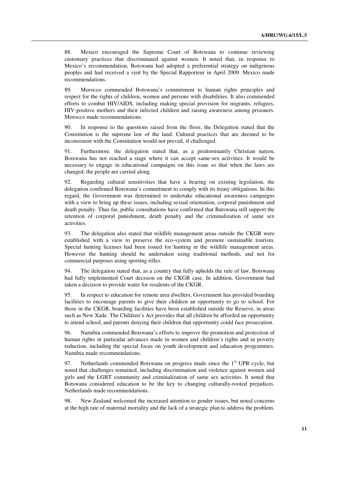88. Mexico encouraged the Supreme Court of Botswana to continue reviewing customary practices that discriminated against women. It noted that, in response to Mexico's recommendation, Botswana had adopted a preferential strategy on indigenous peoples and had received a visit by the Special Rapporteur in April 2009. Mexico made recommendations.

89. Morocco commended Botswana's commitment to human rights principles and respect for the rights of children, women and persons with disabilities. It also commended efforts to combat HIV/AIDS, including making special provision for migrants, refugees, HIV-positive mothers and their infected children and raising awareness among prisoners. Morocco made recommendations.

90. In response to the questions raised from the floor, the Delegation stated that the Constitution is the supreme law of the land. Cultural practices that are deemed to be inconsistent with the Constitution would not prevail, if challenged.

91. Furthermore, the delegation stated that, as a predominantly Christian nation, Botswana has not reached a stage where it can accept same-sex activities. It would be necessary to engage in educational campaigns on this issue so that when the laws are changed, the people are carried along.

92. Regarding cultural sensitivities that have a bearing on existing legislation, the delegation confirmed Botswana's commitment to comply with its treaty obligations. In this regard, the Government was determined to undertake educational awareness campaigns with a view to bring up these issues, including sexual orientation, corporal punishment and death penalty. Thus far, public consultations have confirmed that Batswana still support the retention of corporal punishment, death penalty and the criminalization of same sex activities.

93. The delegation also stated that wildlife management areas outside the CKGR were established with a view to preserve the eco-system and promote sustainable tourism. Special hunting licenses had been issued for hunting in the wildlife management areas. However the hunting should be undertaken using traditional methods, and not for commercial purposes using sporting rifles.

94. The delegation stated that, as a country that fully upholds the rule of law, Botswana had fully implemented Court decision on the CKGR case. In addition, Government had taken a decision to provide water for residents of the CKGR.

95. In respect to education for remote area dwellers, Government has provided boarding facilities to encourage parents to give their children an opportunity to go to school. For those in the CKGR, boarding facilities have been established outside the Reserve, in areas such as New Xade. The Children's Act provides that all children be afforded an opportunity to attend school, and parents denying their children that opportunity could face prosecution.

96. Namibia commended Botswana's efforts to improve the promotion and protection of human rights in particular advances made in women and children's rights and in poverty reduction, including the special focus on youth development and education programmes. Namibia made recommendations.

97. Netherlands commended Botswana on progress made since the  $1<sup>st</sup>$  UPR cycle, but noted that challenges remained, including discrimination and violence against women and girls and the LGBT community and criminalization of same sex activities. It noted that Botswana considered education to be the key to changing culturally-rooted prejudices. Netherlands made recommendations.

98. New Zealand welcomed the increased attention to gender issues, but noted concerns at the high rate of maternal mortality and the lack of a strategic plan to address the problem.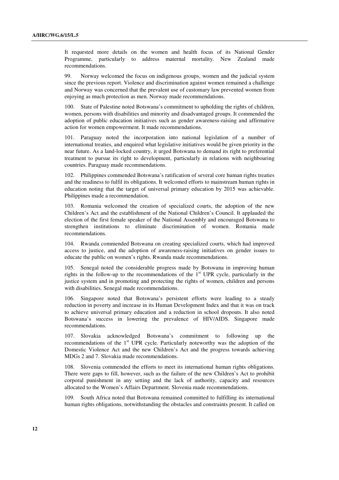It requested more details on the women and health focus of its National Gender Programme, particularly to address maternal mortality. New Zealand made recommendations.

99. Norway welcomed the focus on indigenous groups, women and the judicial system since the previous report. Violence and discrimination against women remained a challenge and Norway was concerned that the prevalent use of customary law prevented women from enjoying as much protection as men. Norway made recommendations.

100. State of Palestine noted Botswana's commitment to upholding the rights of children, women, persons with disabilities and minority and disadvantaged groups. It commended the adoption of public education initiatives such as gender awareness-raising and affirmative action for women empowerment. It made recommendations.

101. Paraguay noted the incorporation into national legislation of a number of international treaties, and enquired what legislative initiatives would be given priority in the near future. As a land-locked country, it urged Botswana to demand its right to preferential treatment to pursue its right to development, particularly in relations with neighbouring countries. Paraguay made recommendations.

102. Philippines commended Botswana's ratification of several core human rights treaties and the readiness to fulfil its obligations. It welcomed efforts to mainstream human rights in education noting that the target of universal primary education by 2015 was achievable. Philippines made a recommendation.

103. Romania welcomed the creation of specialized courts, the adoption of the new Children's Act and the establishment of the National Children's Council. It applauded the election of the first female speaker of the National Assembly and encouraged Botswana to strengthen institutions to eliminate discrimination of women. Romania made recommendations.

104. Rwanda commended Botswana on creating specialized courts, which had improved access to justice, and the adoption of awareness-raising initiatives on gender issues to educate the public on women's rights. Rwanda made recommendations.

105. Senegal noted the considerable progress made by Botswana in improving human rights in the follow-up to the recommendations of the  $1<sup>st</sup>$  UPR cycle, particularly in the justice system and in promoting and protecting the rights of women, children and persons with disabilities. Senegal made recommendations.

106. Singapore noted that Botswana's persistent efforts were leading to a steady reduction in poverty and increase in its Human Development Index and that it was on track to achieve universal primary education and a reduction in school dropouts. It also noted Botswana's success in lowering the prevalence of HIV/AIDS. Singapore made recommendations.

107. Slovakia acknowledged Botswana's commitment to following up the recommendations of the 1<sup>st</sup> UPR cycle. Particularly noteworthy was the adoption of the Domestic Violence Act and the new Children's Act and the progress towards achieving MDGs 2 and 7. Slovakia made recommendations.

108. Slovenia commended the efforts to meet its international human rights obligations. There were gaps to fill, however, such as the failure of the new Children's Act to prohibit corporal punishment in any setting and the lack of authority, capacity and resources allocated to the Women's Affairs Department. Slovenia made recommendations.

109. South Africa noted that Botswana remained committed to fulfilling its international human rights obligations, notwithstanding the obstacles and constraints present. It called on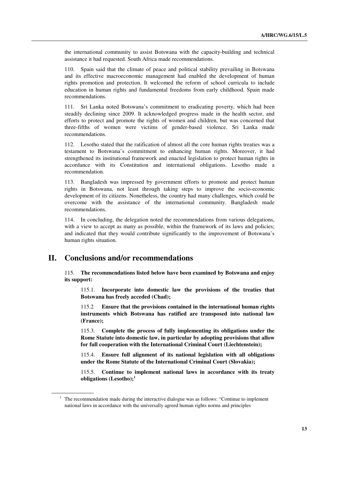the international community to assist Botswana with the capacity-building and technical assistance it had requested. South Africa made recommendations.

110. Spain said that the climate of peace and political stability prevailing in Botswana and its effective macroeconomic management had enabled the development of human rights promotion and protection. It welcomed the reform of school curricula to include education in human rights and fundamental freedoms from early childhood. Spain made recommendations.

111. Sri Lanka noted Botswana's commitment to eradicating poverty, which had been steadily declining since 2009. It acknowledged progress made in the health sector, and efforts to protect and promote the rights of women and children, but was concerned that three-fifths of women were victims of gender-based violence. Sri Lanka made recommendations.

112. Lesotho stated that the ratification of almost all the core human rights treaties was a testament to Botswana's commitment to enhancing human rights. Moreover, it had strengthened its institutional framework and enacted legislation to protect human rights in accordance with its Constitution and international obligations. Lesotho made a recommendation.

113. Bangladesh was impressed by government efforts to promote and protect human rights in Botswana, not least through taking steps to improve the socio-economic development of its citizens. Nonetheless, the country had many challenges, which could be overcome with the assistance of the international community. Bangladesh made recommendations.

114. In concluding, the delegation noted the recommendations from various delegations, with a view to accept as many as possible, within the framework of its laws and policies; and indicated that they would contribute significantly to the improvement of Botswana's human rights situation.

## **II. Conclusions and/or recommendations**

115. **The recommendations listed below have been examined by Botswana and enjoy its support:** 

 115.1. **Incorporate into domestic law the provisions of the treaties that Botswana has freely acceded (Chad);** 

115.2 **Ensure that the provisions contained in the international human rights instruments which Botswana has ratified are transposed into national law (France);** 

115.3. **Complete the process of fully implementing its obligations under the Rome Statute into domestic law, in particular by adopting provisions that allow for full cooperation with the International Criminal Court (Liechtenstein);** 

115.4. **Ensure full alignment of its national legislation with all obligations under the Rome Statute of the International Criminal Court (Slovakia);** 

115.5. **Continue to implement national laws in accordance with its treaty obligations (Lesotho);<sup>1</sup>**

<sup>&</sup>lt;sup>1</sup> The recommendation made during the interactive dialogue was as follows: "Continue to implement national laws in accordance with the universally agreed human rights norms and principles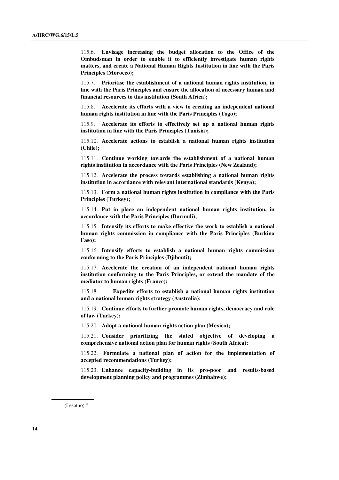115.6. **Envisage increasing the budget allocation to the Office of the Ombudsman in order to enable it to efficiently investigate human rights matters, and create a National Human Rights Institution in line with the Paris Principles (Morocco);** 

115.7. **Prioritise the establishment of a national human rights institution, in line with the Paris Principles and ensure the allocation of necessary human and financial resources to this institution (South Africa);** 

115.8. **Accelerate its efforts with a view to creating an independent national human rights institution in line with the Paris Principles (Togo);** 

115.9. **Accelerate its efforts to effectively set up a national human rights institution in line with the Paris Principles (Tunisia);** 

115.10. **Accelerate actions to establish a national human rights institution (Chile);** 

115.11. **Continue working towards the establishment of a national human rights institution in accordance with the Paris Principles (New Zealand);** 

115.12. **Accelerate the process towards establishing a national human rights institution in accordance with relevant international standards (Kenya);** 

115.13. **Form a national human rights institution in compliance with the Paris Principles (Turkey);** 

115.14. **Put in place an independent national human rights institution, in accordance with the Paris Principles (Burundi);** 

115.15. **Intensify its efforts to make effective the work to establish a national human rights commission in compliance with the Paris Principles (Burkina Faso);** 

115.16. **Intensify efforts to establish a national human rights commission conforming to the Paris Principles (Djibouti);** 

115.17. **Accelerate the creation of an independent national human rights institution conforming to the Paris Principles, or extend the mandate of the mediator to human rights (France);** 

115.18. **Expedite efforts to establish a national human rights institution and a national human rights strategy (Australia);** 

115.19. **Continue efforts to further promote human rights, democracy and rule of law (Turkey);** 

115.20. **Adopt a national human rights action plan (Mexico);** 

115.21. **Consider prioritizing the stated objective of developing a comprehensive national action plan for human rights (South Africa);** 

115.22. **Formulate a national plan of action for the implementation of accepted recommendations (Turkey);** 

115.23. **Enhance capacity-building in its pro-poor and results-based development planning policy and programmes (Zimbabwe);** 

<sup>(</sup>Lesotho)."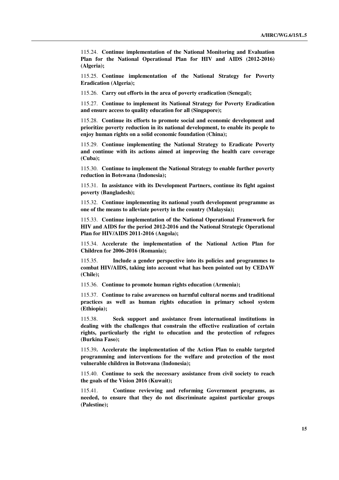115.24. **Continue implementation of the National Monitoring and Evaluation Plan for the National Operational Plan for HIV and AIDS (2012-2016) (Algeria);** 

115.25. **Continue implementation of the National Strategy for Poverty Eradication (Algeria);** 

115.26. **Carry out efforts in the area of poverty eradication (Senegal);** 

115.27. **Continue to implement its National Strategy for Poverty Eradication and ensure access to quality education for all (Singapore);** 

115.28. **Continue its efforts to promote social and economic development and prioritize poverty reduction in its national development, to enable its people to enjoy human rights on a solid economic foundation (China);** 

115.29. **Continue implementing the National Strategy to Eradicate Poverty and continue with its actions aimed at improving the health care coverage (Cuba);** 

115.30. **Continue to implement the National Strategy to enable further poverty reduction in Botswana (Indonesia);** 

115.31. **In assistance with its Development Partners, continue its fight against poverty (Bangladesh);** 

115.32. **Continue implementing its national youth development programme as one of the means to alleviate poverty in the country (Malaysia);** 

115.33. **Continue implementation of the National Operational Framework for HIV and AIDS for the period 2012-2016 and the National Strategic Operational Plan for HIV/AIDS 2011-2016 (Angola);** 

115.34. **Accelerate the implementation of the National Action Plan for Children for 2006-2016 (Romania);** 

115.35. **Include a gender perspective into its policies and programmes to combat HIV/AIDS, taking into account what has been pointed out by CEDAW (Chile);** 

115.36. **Continue to promote human rights education (Armenia);** 

115.37. **Continue to raise awareness on harmful cultural norms and traditional practices as well as human rights education in primary school system (Ethiopia);** 

115.38. **Seek support and assistance from international institutions in dealing with the challenges that constrain the effective realization of certain rights, particularly the right to education and the protection of refugees (Burkina Faso);** 

115.39**. Accelerate the implementation of the Action Plan to enable targeted programming and interventions for the welfare and protection of the most vulnerable children in Botswana (Indonesia);** 

115.40. **Continue to seek the necessary assistance from civil society to reach the goals of the Vision 2016 (Kuwait);** 

115.41. **Continue reviewing and reforming Government programs, as needed, to ensure that they do not discriminate against particular groups (Palestine);**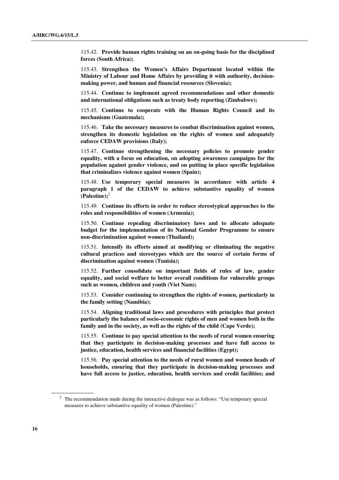115.42. **Provide human rights training on an on-going basis for the disciplined forces (South Africa);** 

115.43. **Strengthen the Women's Affairs Department located within the Ministry of Labour and Home Affairs by providing it with authority, decisionmaking power, and human and financial resources (Slovenia);** 

115.44. **Continue to implement agreed recommendations and other domestic and international obligations such as treaty body reporting (Zimbabwe);** 

115.45. **Continue to cooperate with the Human Rights Council and its mechanisms (Guatemala);** 

115.46. **Take the necessary measures to combat discrimination against women, strengthen its domestic legislation on the rights of women and adequately enforce CEDAW provisions (Italy);** 

115.47. **Continue strengthening the necessary policies to promote gender equality, with a focus on education, on adopting awareness campaigns for the population against gender violence, and on putting in place specific legislation that criminalizes violence against women (Spain);** 

115.48. **Use temporary special measures in accordance with article 4 paragraph 1 of the CEDAW to achieve substantive equality of women (Palestine);**<sup>2</sup>

115.49. **Continue its efforts in order to reduce stereotypical approaches to the roles and responsibilities of women (Armenia);** 

115.50. **Continue repealing discriminatory laws and to allocate adequate budget for the implementation of its National Gender Programme to ensure non-discrimination against women (Thailand);** 

115.51. **Intensify its efforts aimed at modifying or eliminating the negative cultural practices and stereotypes which are the source of certain forms of discrimination against women (Tunisia);** 

115.52. **Further consolidate on important fields of rules of law, gender equality, and social welfare to better overall conditions for vulnerable groups such as women, children and youth (Viet Nam);** 

115.53. **Consider continuing to strengthen the rights of women, particularly in the family setting (Namibia);** 

115.54. **Aligning traditional laws and procedures with principles that protect particularly the balance of socio-economic rights of men and women both in the family and in the society, as well as the rights of the child (Cape Verde);** 

115.55. **Continue to pay special attention to the needs of rural women ensuring that they participate in decision-making processes and have full access to justice, education, health services and financial facilities (Egypt);** 

115.56. **Pay special attention to the needs of rural women and women heads of households, ensuring that they participate in decision-making processes and have full access to justice, education, health services and credit facilities; and** 

 $2$  The recommendation made during the interactive dialogue was as follows: "Use temporary special measures to achieve substantive equality of women (Palestine)."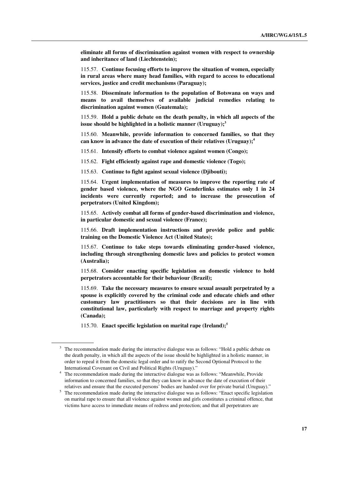**eliminate all forms of discrimination against women with respect to ownership and inheritance of land (Liechtenstein);** 

115.57. **Continue focusing efforts to improve the situation of women, especially in rural areas where many head families, with regard to access to educational services, justice and credit mechanisms (Paraguay);**

115.58. **Disseminate information to the population of Botswana on ways and means to avail themselves of available judicial remedies relating to discrimination against women (Guatemala);** 

115.59. **Hold a public debate on the death penalty, in which all aspects of the issue should be highlighted in a holistic manner (Uruguay);<sup>3</sup>**

115.60. **Meanwhile, provide information to concerned families, so that they can know in advance the date of execution of their relatives (Uruguay);<sup>4</sup>**

115.61. **Intensify efforts to combat violence against women (Congo);** 

115.62. **Fight efficiently against rape and domestic violence (Togo);** 

115.63. **Continue to fight against sexual violence (Djibouti);** 

115.64. **Urgent implementation of measures to improve the reporting rate of gender based violence, where the NGO Genderlinks estimates only 1 in 24 incidents were currently reported; and to increase the prosecution of perpetrators (United Kingdom);** 

115.65. **Actively combat all forms of gender-based discrimination and violence, in particular domestic and sexual violence (France);** 

115.66. **Draft implementation instructions and provide police and public training on the Domestic Violence Act (United States);** 

115.67. **Continue to take steps towards eliminating gender-based violence, including through strengthening domestic laws and policies to protect women (Australia);** 

115.68. **Consider enacting specific legislation on domestic violence to hold perpetrators accountable for their behaviour (Brazil);** 

115.69. **Take the necessary measures to ensure sexual assault perpetrated by a spouse is explicitly covered by the criminal code and educate chiefs and other customary law practitioners so that their decisions are in line with constitutional law, particularly with respect to marriage and property rights (Canada);** 

115.70. **Enact specific legislation on marital rape (Ireland);<sup>5</sup>**

<sup>3</sup> The recommendation made during the interactive dialogue was as follows: "Hold a public debate on the death penalty, in which all the aspects of the issue should be highlighted in a holistic manner, in order to repeal it from the domestic legal order and to ratify the Second Optional Protocol to the International Covenant on Civil and Political Rights (Uruguay)."

<sup>4</sup> The recommendation made during the interactive dialogue was as follows: "Meanwhile, Provide information to concerned families, so that they can know in advance the date of execution of their relatives and ensure that the executed persons' bodies are handed over for private burial (Uruguay)."

<sup>&</sup>lt;sup>5</sup> The recommendation made during the interactive dialogue was as follows: "Enact specific legislation on marital rape to ensure that all violence against women and girls constitutes a criminal offence, that victims have access to immediate means of redress and protection; and that all perpetrators are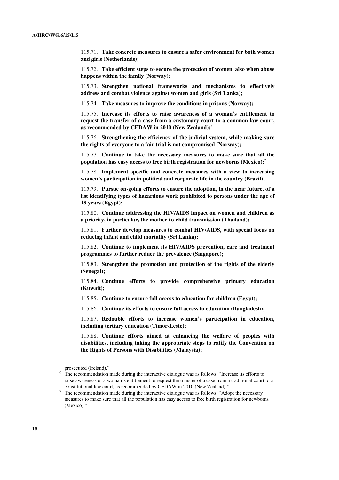115.71. **Take concrete measures to ensure a safer environment for both women and girls (Netherlands);** 

115.72. **Take efficient steps to secure the protection of women, also when abuse happens within the family (Norway);** 

115.73. **Strengthen national frameworks and mechanisms to effectively address and combat violence against women and girls (Sri Lanka);** 

115.74. **Take measures to improve the conditions in prisons (Norway);** 

115.75. **Increase its efforts to raise awareness of a woman's entitlement to request the transfer of a case from a customary court to a common law court, as recommended by CEDAW in 2010 (New Zealand);<sup>6</sup>**

115.76. **Strengthening the efficiency of the judicial system, while making sure the rights of everyone to a fair trial is not compromised (Norway);** 

115.77. **Continue to take the necessary measures to make sure that all the population has easy access to free birth registration for newborns (Mexico);<sup>7</sup>**

115.78. **Implement specific and concrete measures with a view to increasing women's participation in political and corporate life in the country (Brazil);** 

115.79. **Pursue on-going efforts to ensure the adoption, in the near future, of a list identifying types of hazardous work prohibited to persons under the age of 18 years (Egypt);** 

115.80. **Continue addressing the HIV/AIDS impact on women and children as a priority, in particular, the mother-to-child transmission (Thailand);** 

115.81. **Further develop measures to combat HIV/AIDS, with special focus on reducing infant and child mortality (Sri Lanka);** 

115.82. **Continue to implement its HIV/AIDS prevention, care and treatment programmes to further reduce the prevalence (Singapore);** 

115.83. **Strengthen the promotion and protection of the rights of the elderly (Senegal);** 

115.84. **Continue efforts to provide comprehensive primary education (Kuwait);** 

115.85**. Continue to ensure full access to education for children (Egypt);** 

115.86. **Continue its efforts to ensure full access to education (Bangladesh);** 

115.87. **Redouble efforts to increase women's participation in education, including tertiary education (Timor-Leste);** 

115.88. **Continue efforts aimed at enhancing the welfare of peoples with disabilities, including taking the appropriate steps to ratify the Convention on the Rights of Persons with Disabilities (Malaysia);**

prosecuted (Ireland)."

<sup>&</sup>lt;sup>6</sup> The recommendation made during the interactive dialogue was as follows: "Increase its efforts to raise awareness of a woman's entitlement to request the transfer of a case from a traditional court to a constitutional law court, as recommended by CEDAW in 2010 (New Zealand)."

 $\frac{7}{1}$  The recommendation made during the interactive dialogue was as follows: "Adopt the necessary measures to make sure that all the population has easy access to free birth registration for newborns (Mexico)."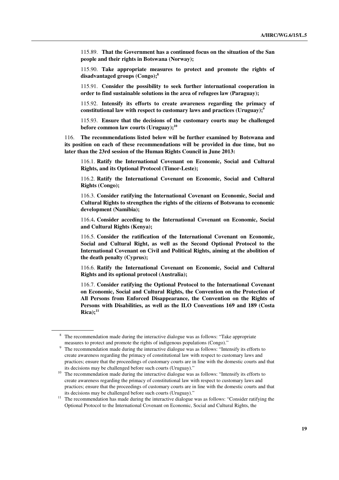115.89. **That the Government has a continued focus on the situation of the San people and their rights in Botswana (Norway);** 

115.90. **Take appropriate measures to protect and promote the rights of disadvantaged groups (Congo);<sup>8</sup>**

115.91. **Consider the possibility to seek further international cooperation in order to find sustainable solutions in the area of refugees law (Paraguay);** 

115.92. **Intensify its efforts to create awareness regarding the primacy of constitutional law with respect to customary laws and practices (Uruguay);<sup>9</sup>**

115.93. **Ensure that the decisions of the customary courts may be challenged before common law courts (Uruguay);<sup>10</sup>**

116. **The recommendations listed below will be further examined by Botswana and its position on each of these recommendations will be provided in due time, but no later than the 23rd session of the Human Rights Council in June 2013:** 

116.1. **Ratify the International Covenant on Economic, Social and Cultural Rights, and its Optional Protocol (Timor-Leste);** 

116.2. **Ratify the International Covenant on Economic, Social and Cultural Rights (Congo);** 

116.3. **Consider ratifying the International Covenant on Economic, Social and Cultural Rights to strengthen the rights of the citizens of Botswana to economic development (Namibia);** 

116.4**. Consider acceding to the International Covenant on Economic, Social and Cultural Rights (Kenya);** 

116.5. **Consider the ratification of the International Covenant on Economic, Social and Cultural Right, as well as the Second Optional Protocol to the International Covenant on Civil and Political Rights, aiming at the abolition of the death penalty (Cyprus);** 

116.6. **Ratify the International Covenant on Economic, Social and Cultural Rights and its optional protocol (Australia);** 

116.7. **Consider ratifying the Optional Protocol to the International Covenant on Economic, Social and Cultural Rights, the Convention on the Protection of All Persons from Enforced Disappearance, the Convention on the Rights of Persons with Disabilities, as well as the ILO Conventions 169 and 189 (Costa**   $Rica$ <sup>11</sup>

<sup>&</sup>lt;sup>8</sup> The recommendation made during the interactive dialogue was as follows: "Take appropriate measures to protect and promote the rights of indigenous populations (Congo)."

<sup>9</sup> The recommendation made during the interactive dialogue was as follows: "Intensify its efforts to create awareness regarding the primacy of constitutional law with respect to customary laws and practices; ensure that the proceedings of customary courts are in line with the domestic courts and that its decisions may be challenged before such courts (Uruguay)."

<sup>&</sup>lt;sup>10</sup> The recommendation made during the interactive dialogue was as follows: "Intensify its efforts to create awareness regarding the primacy of constitutional law with respect to customary laws and practices; ensure that the proceedings of customary courts are in line with the domestic courts and that its decisions may be challenged before such courts (Uruguay)."

<sup>&</sup>lt;sup>11</sup> The recommendation has made during the interactive dialogue was as follows: "Consider ratifying the Optional Protocol to the International Covenant on Economic, Social and Cultural Rights, the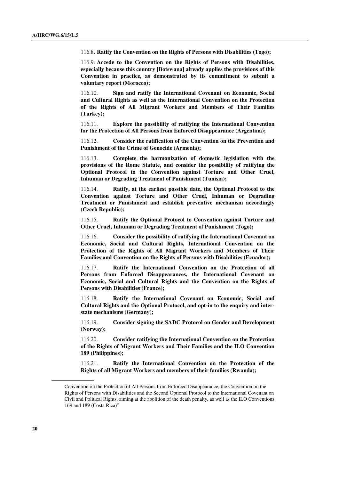116.8**. Ratify the Convention on the Rights of Persons with Disabilities (Togo);** 

116.9. **Accede to the Convention on the Rights of Persons with Disabilities, especially because this country [Botswana] already applies the provisions of this Convention in practice, as demonstrated by its commitment to submit a voluntary report (Morocco);** 

116.10. **Sign and ratify the International Covenant on Economic, Social and Cultural Rights as well as the International Convention on the Protection of the Rights of All Migrant Workers and Members of Their Families (Turkey);** 

116.11. **Explore the possibility of ratifying the International Convention for the Protection of All Persons from Enforced Disappearance (Argentina);** 

116.12. **Consider the ratification of the Convention on the Prevention and Punishment of the Crime of Genocide (Armenia);** 

116.13. **Complete the harmonization of domestic legislation with the provisions of the Rome Statute, and consider the possibility of ratifying the Optional Protocol to the Convention against Torture and Other Cruel, Inhuman or Degrading Treatment of Punishment (Tunisia);** 

116.14. **Ratify, at the earliest possible date, the Optional Protocol to the Convention against Torture and Other Cruel, Inhuman or Degrading Treatment or Punishment and establish preventive mechanism accordingly (Czech Republic);** 

116.15. **Ratify the Optional Protocol to Convention against Torture and Other Cruel, Inhuman or Degrading Treatment of Punishment (Togo);** 

116.16. **Consider the possibility of ratifying the International Covenant on Economic, Social and Cultural Rights, International Convention on the Protection of the Rights of All Migrant Workers and Members of Their Families and Convention on the Rights of Persons with Disabilities (Ecuador);** 

116.17. **Ratify the International Convention on the Protection of all Persons from Enforced Disappearances, the International Covenant on Economic, Social and Cultural Rights and the Convention on the Rights of Persons with Disabilities (France);** 

116.18. **Ratify the International Covenant on Economic, Social and Cultural Rights and the Optional Protocol, and opt-in to the enquiry and interstate mechanisms (Germany);** 

116.19. **Consider signing the SADC Protocol on Gender and Development (Norway);** 

116.20. **Consider ratifying the International Convention on the Protection of the Rights of Migrant Workers and Their Families and the ILO Convention 189 (Philippines);** 

116.21. **Ratify the International Convention on the Protection of the Rights of all Migrant Workers and members of their families (Rwanda);** 

Convention on the Protection of All Persons from Enforced Disappearance, the Convention on the Rights of Persons with Disabilities and the Second Optional Protocol to the International Covenant on Civil and Political Rights, aiming at the abolition of the death penalty, as well as the ILO Conventions 169 and 189 (Costa Rica)"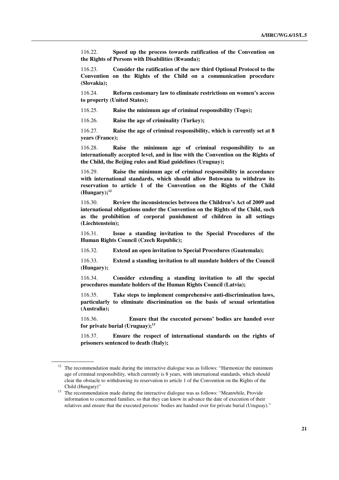116.22. **Speed up the process towards ratification of the Convention on the Rights of Persons with Disabilities (Rwanda);** 

116.23. **Consider the ratification of the new third Optional Protocol to the Convention on the Rights of the Child on a communication procedure (Slovakia);** 

116.24. **Reform customary law to eliminate restrictions on women's access to property (United States);** 

116.25. **Raise the minimum age of criminal responsibility (Togo);** 

116.26. **Raise the age of criminality (Turkey);** 

116.27. **Raise the age of criminal responsibility, which is currently set at 8 years (France);** 

116.28. **Raise the minimum age of criminal responsibility to an internationally accepted level, and in line with the Convention on the Rights of the Child, the Beijing rules and Riad guidelines (Uruguay);** 

116.29. **Raise the minimum age of criminal responsibility in accordance with international standards, which should allow Botswana to withdraw its reservation to article 1 of the Convention on the Rights of the Child (Hungary);<sup>12</sup>**

116.30. **Review the inconsistencies between the Children's Act of 2009 and international obligations under the Convention on the Rights of the Child, such as the prohibition of corporal punishment of children in all settings (Liechtenstein);** 

116.31. **Issue a standing invitation to the Special Procedures of the Human Rights Council (Czech Republic);** 

116.32. **Extend an open invitation to Special Procedures (Guatemala);** 

116.33. **Extend a standing invitation to all mandate holders of the Council (Hungary);** 

116.34. **Consider extending a standing invitation to all the special procedures mandate holders of the Human Rights Council (Latvia);** 

116.35. **Take steps to implement comprehensive anti-discrimination laws, particularly to eliminate discrimination on the basis of sexual orientation (Australia);** 

116.36. **Ensure that the executed persons' bodies are handed over for private burial (Uruguay);<sup>13</sup>**

116.37. **Ensure the respect of international standards on the rights of prisoners sentenced to death (Italy);** 

<sup>&</sup>lt;sup>12</sup> The recommendation made during the interactive dialogue was as follows: "Harmonize the minimum age of criminal responsibility, which currently is 8 years, with international standards, which should clear the obstacle to withdrawing its reservation to article 1 of the Convention on the Rights of the Child (Hungary)"

<sup>&</sup>lt;sup>13</sup> The recommendation made during the interactive dialogue was as follows: "Meanwhile, Provide information to concerned families, so that they can know in advance the date of execution of their relatives and ensure that the executed persons' bodies are handed over for private burial (Uruguay)."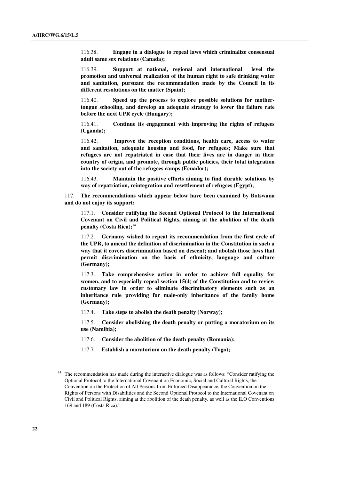116.38. **Engage in a dialogue to repeal laws which criminalize consensual adult same sex relations (Canada);** 

116.39. **Support at national, regional and international level the promotion and universal realization of the human right to safe drinking water and sanitation, pursuant the recommendation made by the Council in its different resolutions on the matter (Spain);** 

116.40. **Speed up the process to explore possible solutions for mothertongue schooling, and develop an adequate strategy to lower the failure rate before the next UPR cycle (Hungary);** 

116.41. **Continue its engagement with improving the rights of refugees (Uganda);** 

116.42. **Improve the reception conditions, health care, access to water and sanitation, adequate housing and food, for refugees; Make sure that refugees are not repatriated in case that their lives are in danger in their country of origin, and promote, through public policies, their total integration into the society out of the refugees camps (Ecuador);** 

116.43. **Maintain the positive efforts aiming to find durable solutions by way of repatriation, reintegration and resettlement of refugees (Egypt);**

117. **The recommendations which appear below have been examined by Botswana and do not enjoy its support:** 

117.1. **Consider ratifying the Second Optional Protocol to the International Covenant on Civil and Political Rights, aiming at the abolition of the death penalty (Costa Rica);<sup>14</sup>**

117.2. **Germany wished to repeat its recommendation from the first cycle of the UPR, to amend the definition of discrimination in the Constitution in such a way that it covers discrimination based on descent; and abolish those laws that permit discrimination on the basis of ethnicity, language and culture (Germany);** 

117.3. **Take comprehensive action in order to achieve full equality for women, and to especially repeal section 15(4) of the Constitution and to review customary law in order to eliminate discriminatory elements such as an inheritance rule providing for male-only inheritance of the family home (Germany);** 

117.4. **Take steps to abolish the death penalty (Norway);** 

117.5. **Consider abolishing the death penalty or putting a moratorium on its use (Namibia);** 

- 117.6. **Consider the abolition of the death penalty (Romania);**
- 117.7. **Establish a moratorium on the death penalty (Togo);**

<sup>&</sup>lt;sup>14</sup> The recommendation has made during the interactive dialogue was as follows: "Consider ratifying the Optional Protocol to the International Covenant on Economic, Social and Cultural Rights, the Convention on the Protection of All Persons from Enforced Disappearance, the Convention on the Rights of Persons with Disabilities and the Second Optional Protocol to the International Covenant on Civil and Political Rights, aiming at the abolition of the death penalty, as well as the ILO Conventions 169 and 189 (Costa Rica)."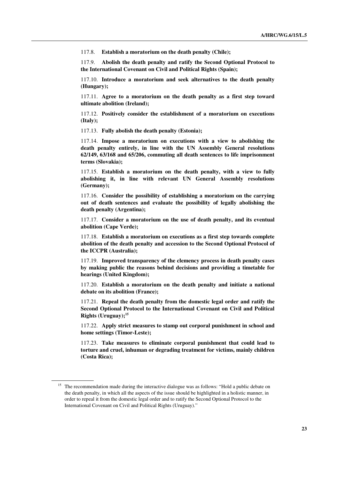117.8. **Establish a moratorium on the death penalty (Chile);** 

117.9. **Abolish the death penalty and ratify the Second Optional Protocol to the International Covenant on Civil and Political Rights (Spain);** 

117.10. **Introduce a moratorium and seek alternatives to the death penalty (Hungary);** 

117.11. **Agree to a moratorium on the death penalty as a first step toward ultimate abolition (Ireland);** 

117.12. **Positively consider the establishment of a moratorium on executions (Italy);** 

117.13. **Fully abolish the death penalty (Estonia);** 

117.14. **Impose a moratorium on executions with a view to abolishing the death penalty entirely, in line with the UN Assembly General resolutions 62/149, 63/168 and 65/206, commuting all death sentences to life imprisonment terms (Slovakia);** 

117.15. **Establish a moratorium on the death penalty, with a view to fully abolishing it, in line with relevant UN General Assembly resolutions (Germany);** 

117.16. **Consider the possibility of establishing a moratorium on the carrying out of death sentences and evaluate the possibility of legally abolishing the death penalty (Argentina);** 

117.17. **Consider a moratorium on the use of death penalty, and its eventual abolition (Cape Verde);** 

117.18. **Establish a moratorium on executions as a first step towards complete abolition of the death penalty and accession to the Second Optional Protocol of the ICCPR (Australia);** 

117.19. **Improved transparency of the clemency process in death penalty cases by making public the reasons behind decisions and providing a timetable for hearings (United Kingdom);** 

117.20. **Establish a moratorium on the death penalty and initiate a national debate on its abolition (France);** 

117.21. **Repeal the death penalty from the domestic legal order and ratify the Second Optional Protocol to the International Covenant on Civil and Political Rights (Uruguay);<sup>15</sup>**

117.22. **Apply strict measures to stamp out corporal punishment in school and home settings (Timor-Leste);** 

117.23. **Take measures to eliminate corporal punishment that could lead to torture and cruel, inhuman or degrading treatment for victims, mainly children (Costa Rica);** 

The recommendation made during the interactive dialogue was as follows: "Hold a public debate on the death penalty, in which all the aspects of the issue should be highlighted in a holistic manner, in order to repeal it from the domestic legal order and to ratify the Second Optional Protocol to the International Covenant on Civil and Political Rights (Uruguay)."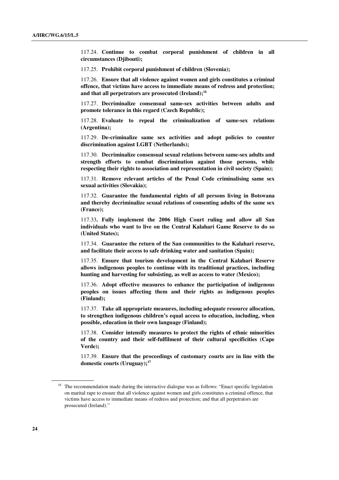117.24. **Continue to combat corporal punishment of children in all circumstances (Djibouti);** 

117.25. **Prohibit corporal punishment of children (Slovenia);** 

117.26. **Ensure that all violence against women and girls constitutes a criminal offence, that victims have access to immediate means of redress and protection; and that all perpetrators are prosecuted (Ireland);<sup>16</sup>**

117.27. **Decriminalize consensual same-sex activities between adults and promote tolerance in this regard (Czech Republic);** 

117.28. **Evaluate to repeal the criminalization of same-sex relations (Argentina);** 

117.29. **De-criminalize same sex activities and adopt policies to counter discrimination against LGBT (Netherlands);** 

117.30. **Decriminalize consensual sexual relations between same-sex adults and strength efforts to combat discrimination against those persons, while respecting their rights to association and representation in civil society (Spain);** 

117.31. **Remove relevant articles of the Penal Code criminalising same sex sexual activities (Slovakia);** 

117.32. **Guarantee the fundamental rights of all persons living in Botswana and thereby decriminalize sexual relations of consenting adults of the same sex (France);** 

117.33**. Fully implement the 2006 High Court ruling and allow all San individuals who want to live on the Central Kalahari Game Reserve to do so (United States);** 

117.34. **Guarantee the return of the San communities to the Kalahari reserve, and facilitate their access to safe drinking water and sanitation (Spain);** 

117.35. **Ensure that tourism development in the Central Kalahari Reserve allows indigenous peoples to continue with its traditional practices, including hunting and harvesting for subsisting, as well as access to water (Mexico);** 

117.36. **Adopt effective measures to enhance the participation of indigenous peoples on issues affecting them and their rights as indigenous peoples (Finland);** 

117.37. **Take all appropriate measures, including adequate resource allocation, to strengthen indigenous children's equal access to education, including, when possible, education in their own language (Finland);** 

117.38. **Consider intensify measures to protect the rights of ethnic minorities of the country and their self-fulfilment of their cultural specificities (Cape Verde);** 

117.39. **Ensure that the proceedings of customary courts are in line with the domestic courts (Uruguay);<sup>17</sup>**

<sup>&</sup>lt;sup>16</sup> The recommendation made during the interactive dialogue was as follows: "Enact specific legislation on marital rape to ensure that all violence against women and girls constitutes a criminal offence, that victims have access to immediate means of redress and protection; and that all perpetrators are prosecuted (Ireland)."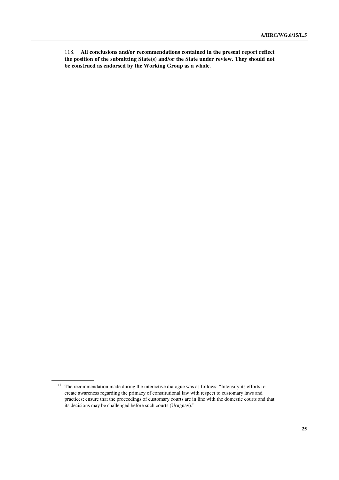118. **All conclusions and/or recommendations contained in the present report reflect the position of the submitting State(s) and/or the State under review. They should not be construed as endorsed by the Working Group as a whole**.

<sup>&</sup>lt;sup>17</sup> The recommendation made during the interactive dialogue was as follows: "Intensify its efforts to create awareness regarding the primacy of constitutional law with respect to customary laws and practices; ensure that the proceedings of customary courts are in line with the domestic courts and that its decisions may be challenged before such courts (Uruguay)."